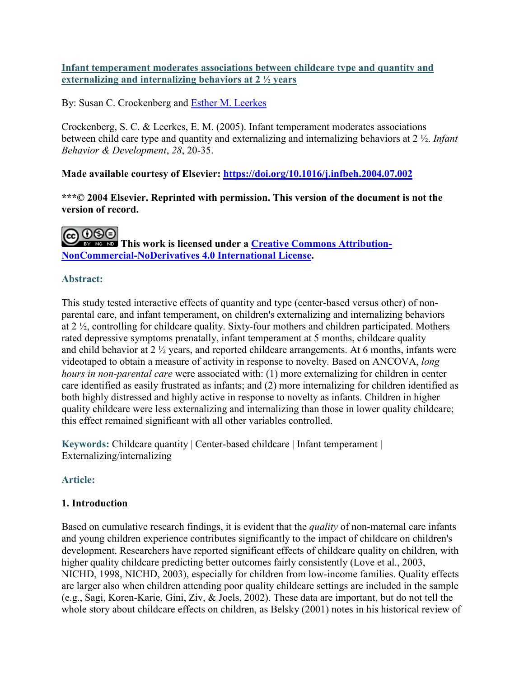#### **Infant temperament moderates associations between childcare type and quantity and externalizing and internalizing behaviors at 2 ½ years**

# By: Susan C. Crockenberg and [Esther M. Leerkes](https://libres.uncg.edu/ir/uncg/clist.aspx?id=1186)

Crockenberg, S. C. & Leerkes, E. M. (2005). Infant temperament moderates associations between child care type and quantity and externalizing and internalizing behaviors at 2 ½. *Infant Behavior & Development*, *28*, 20-35.

**Made available courtesy of Elsevier:<https://doi.org/10.1016/j.infbeh.2004.07.002>**

**\*\*\*© 2004 Elsevier. Reprinted with permission. This version of the document is not the version of record.** 

**COOSE**<br> **This work is licensed under a [Creative Commons Attribution-](http://creativecommons.org/licenses/by-nc-nd/4.0/)[NonCommercial-NoDerivatives 4.0 International License.](http://creativecommons.org/licenses/by-nc-nd/4.0/)**

# **Abstract:**

This study tested interactive effects of quantity and type (center-based versus other) of nonparental care, and infant temperament, on children's externalizing and internalizing behaviors at 2 ½, controlling for childcare quality. Sixty-four mothers and children participated. Mothers rated depressive symptoms prenatally, infant temperament at 5 months, childcare quality and child behavior at 2 ½ years, and reported childcare arrangements. At 6 months, infants were videotaped to obtain a measure of activity in response to novelty. Based on ANCOVA, *long hours in non-parental care* were associated with: (1) more externalizing for children in center care identified as easily frustrated as infants; and (2) more internalizing for children identified as both highly distressed and highly active in response to novelty as infants. Children in higher quality childcare were less externalizing and internalizing than those in lower quality childcare; this effect remained significant with all other variables controlled.

**Keywords:** Childcare quantity | Center-based childcare | Infant temperament | Externalizing/internalizing

# **Article:**

# **1. Introduction**

Based on cumulative research findings, it is evident that the *quality* of non-maternal care infants and young children experience contributes significantly to the impact of childcare on children's development. Researchers have reported significant effects of childcare quality on children, with higher quality childcare predicting better outcomes fairly consistently (Love et al., 2003, NICHD, 1998, NICHD, 2003), especially for children from low-income families. Quality effects are larger also when children attending poor quality childcare settings are included in the sample (e.g., Sagi, Koren-Karie, Gini, Ziv, & Joels, 2002). These data are important, but do not tell the whole story about childcare effects on children, as Belsky (2001) notes in his historical review of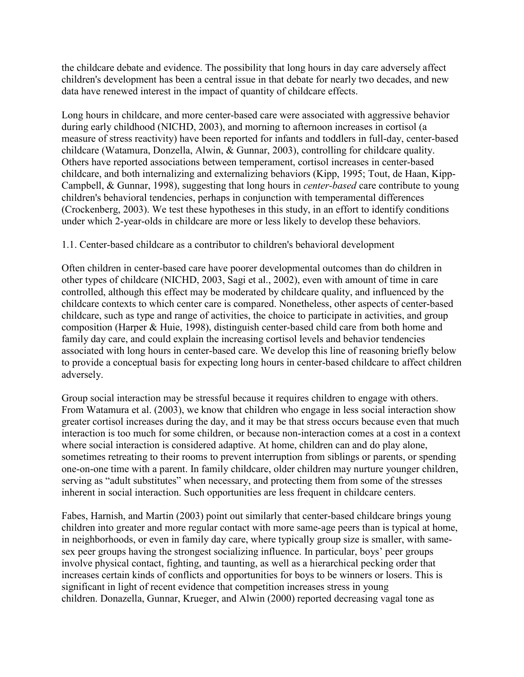the childcare debate and evidence. The possibility that long hours in day care adversely affect children's development has been a central issue in that debate for nearly two decades, and new data have renewed interest in the impact of quantity of childcare effects.

Long hours in childcare, and more center-based care were associated with aggressive behavior during early childhood (NICHD, 2003), and morning to afternoon increases in cortisol (a measure of stress reactivity) have been reported for infants and toddlers in full-day, center-based childcare (Watamura, Donzella, Alwin, & Gunnar, 2003), controlling for childcare quality. Others have reported associations between temperament, cortisol increases in center-based childcare, and both internalizing and externalizing behaviors (Kipp, 1995; Tout, de Haan, Kipp-Campbell, & Gunnar, 1998), suggesting that long hours in *center-based* care contribute to young children's behavioral tendencies, perhaps in conjunction with temperamental differences (Crockenberg, 2003). We test these hypotheses in this study, in an effort to identify conditions under which 2-year-olds in childcare are more or less likely to develop these behaviors.

#### 1.1. Center-based childcare as a contributor to children's behavioral development

Often children in center-based care have poorer developmental outcomes than do children in other types of childcare (NICHD, 2003, Sagi et al., 2002), even with amount of time in care controlled, although this effect may be moderated by childcare quality, and influenced by the childcare contexts to which center care is compared. Nonetheless, other aspects of center-based childcare, such as type and range of activities, the choice to participate in activities, and group composition (Harper & Huie, 1998), distinguish center-based child care from both home and family day care, and could explain the increasing cortisol levels and behavior tendencies associated with long hours in center-based care. We develop this line of reasoning briefly below to provide a conceptual basis for expecting long hours in center-based childcare to affect children adversely.

Group social interaction may be stressful because it requires children to engage with others. From Watamura et al. (2003), we know that children who engage in less social interaction show greater cortisol increases during the day, and it may be that stress occurs because even that much interaction is too much for some children, or because non-interaction comes at a cost in a context where social interaction is considered adaptive. At home, children can and do play alone, sometimes retreating to their rooms to prevent interruption from siblings or parents, or spending one-on-one time with a parent. In family childcare, older children may nurture younger children, serving as "adult substitutes" when necessary, and protecting them from some of the stresses inherent in social interaction. Such opportunities are less frequent in childcare centers.

Fabes, Harnish, and Martin (2003) point out similarly that center-based childcare brings young children into greater and more regular contact with more same-age peers than is typical at home, in neighborhoods, or even in family day care, where typically group size is smaller, with samesex peer groups having the strongest socializing influence. In particular, boys' peer groups involve physical contact, fighting, and taunting, as well as a hierarchical pecking order that increases certain kinds of conflicts and opportunities for boys to be winners or losers. This is significant in light of recent evidence that competition increases stress in young children. Donazella, Gunnar, Krueger, and Alwin (2000) reported decreasing vagal tone as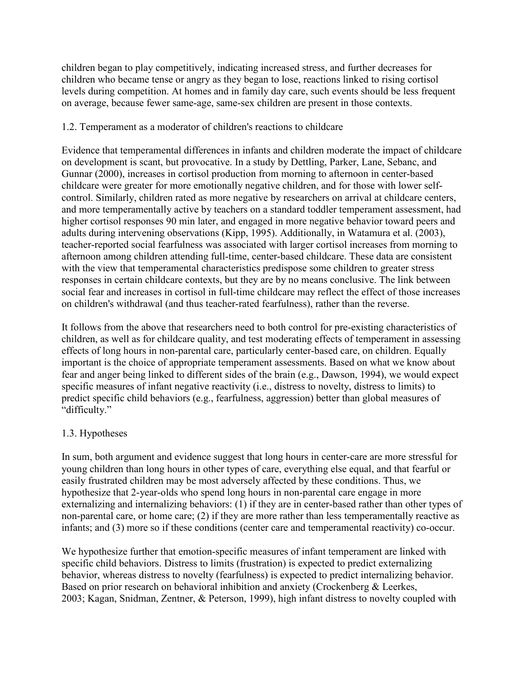children began to play competitively, indicating increased stress, and further decreases for children who became tense or angry as they began to lose, reactions linked to rising cortisol levels during competition. At homes and in family day care, such events should be less frequent on average, because fewer same-age, same-sex children are present in those contexts.

#### 1.2. Temperament as a moderator of children's reactions to childcare

Evidence that temperamental differences in infants and children moderate the impact of childcare on development is scant, but provocative. In a study by Dettling, Parker, Lane, Sebanc, and Gunnar (2000), increases in cortisol production from morning to afternoon in center-based childcare were greater for more emotionally negative children, and for those with lower selfcontrol. Similarly, children rated as more negative by researchers on arrival at childcare centers, and more temperamentally active by teachers on a standard toddler temperament assessment, had higher cortisol responses 90 min later, and engaged in more negative behavior toward peers and adults during intervening observations (Kipp, 1995). Additionally, in Watamura et al. (2003), teacher-reported social fearfulness was associated with larger cortisol increases from morning to afternoon among children attending full-time, center-based childcare. These data are consistent with the view that temperamental characteristics predispose some children to greater stress responses in certain childcare contexts, but they are by no means conclusive. The link between social fear and increases in cortisol in full-time childcare may reflect the effect of those increases on children's withdrawal (and thus teacher-rated fearfulness), rather than the reverse.

It follows from the above that researchers need to both control for pre-existing characteristics of children, as well as for childcare quality, and test moderating effects of temperament in assessing effects of long hours in non-parental care, particularly center-based care, on children. Equally important is the choice of appropriate temperament assessments. Based on what we know about fear and anger being linked to different sides of the brain (e.g., Dawson, 1994), we would expect specific measures of infant negative reactivity (i.e., distress to novelty, distress to limits) to predict specific child behaviors (e.g., fearfulness, aggression) better than global measures of "difficulty."

#### 1.3. Hypotheses

In sum, both argument and evidence suggest that long hours in center-care are more stressful for young children than long hours in other types of care, everything else equal, and that fearful or easily frustrated children may be most adversely affected by these conditions. Thus, we hypothesize that 2-year-olds who spend long hours in non-parental care engage in more externalizing and internalizing behaviors: (1) if they are in center-based rather than other types of non-parental care, or home care; (2) if they are more rather than less temperamentally reactive as infants; and (3) more so if these conditions (center care and temperamental reactivity) co-occur.

We hypothesize further that emotion-specific measures of infant temperament are linked with specific child behaviors. Distress to limits (frustration) is expected to predict externalizing behavior, whereas distress to novelty (fearfulness) is expected to predict internalizing behavior. Based on prior research on behavioral inhibition and anxiety (Crockenberg & Leerkes, 2003; Kagan, Snidman, Zentner, & Peterson, 1999), high infant distress to novelty coupled with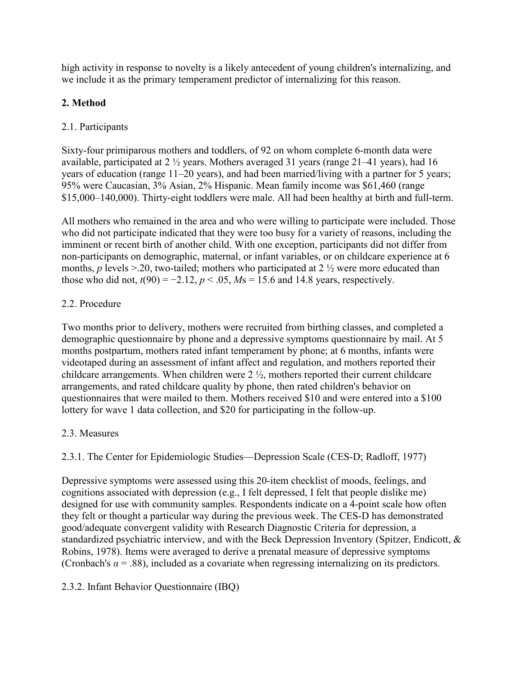high activity in response to novelty is a likely antecedent of young children's internalizing, and we include it as the primary temperament predictor of internalizing for this reason.

# **2. Method**

## 2.1. Participants

Sixty-four primiparous mothers and toddlers, of 92 on whom complete 6-month data were available, participated at 2 ½ years. Mothers averaged 31 years (range 21–41 years), had 16 years of education (range 11–20 years), and had been married/living with a partner for 5 years; 95% were Caucasian, 3% Asian, 2% Hispanic. Mean family income was \$61,460 (range \$15,000–140,000). Thirty-eight toddlers were male. All had been healthy at birth and full-term.

All mothers who remained in the area and who were willing to participate were included. Those who did not participate indicated that they were too busy for a variety of reasons, including the imminent or recent birth of another child. With one exception, participants did not differ from non-participants on demographic, maternal, or infant variables, or on childcare experience at 6 months, *p* levels >.20, two-tailed; mothers who participated at 2  $\frac{1}{2}$  were more educated than those who did not,  $t(90) = -2.12$ ,  $p < .05$ ,  $Ms = 15.6$  and 14.8 years, respectively.

#### 2.2. Procedure

Two months prior to delivery, mothers were recruited from birthing classes, and completed a demographic questionnaire by phone and a depressive symptoms questionnaire by mail. At 5 months postpartum, mothers rated infant temperament by phone; at 6 months, infants were videotaped during an assessment of infant affect and regulation, and mothers reported their childcare arrangements. When children were 2 ½, mothers reported their current childcare arrangements, and rated childcare quality by phone, then rated children's behavior on questionnaires that were mailed to them. Mothers received \$10 and were entered into a \$100 lottery for wave 1 data collection, and \$20 for participating in the follow-up.

#### 2.3. Measures

2.3.1. The Center for Epidemiologic Studies—Depression Scale (CES-D; Radloff, 1977)

Depressive symptoms were assessed using this 20-item checklist of moods, feelings, and cognitions associated with depression (e.g., I felt depressed, I felt that people dislike me) designed for use with community samples. Respondents indicate on a 4-point scale how often they felt or thought a particular way during the previous week. The CES-D has demonstrated good/adequate convergent validity with Research Diagnostic Criteria for depression, a standardized psychiatric interview, and with the Beck Depression Inventory (Spitzer, Endicott, & Robins, 1978). Items were averaged to derive a prenatal measure of depressive symptoms (Cronbach's  $\alpha$  = .88), included as a covariate when regressing internalizing on its predictors.

#### 2.3.2. Infant Behavior Questionnaire (IBQ)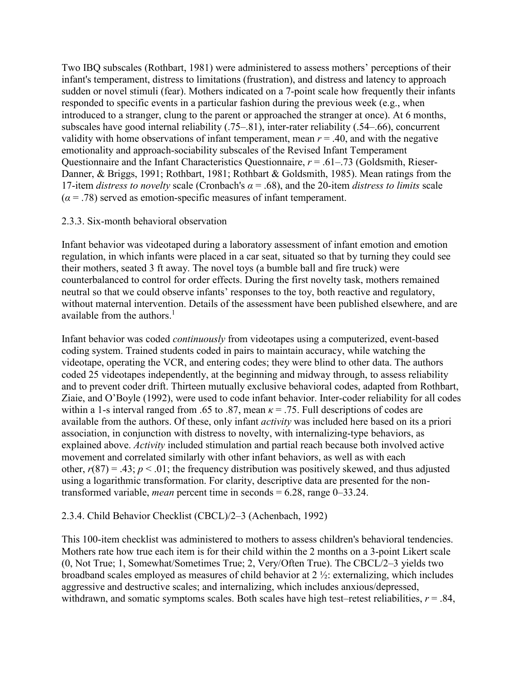Two IBQ subscales (Rothbart, 1981) were administered to assess mothers' perceptions of their infant's temperament, distress to limitations (frustration), and distress and latency to approach sudden or novel stimuli (fear). Mothers indicated on a 7-point scale how frequently their infants responded to specific events in a particular fashion during the previous week (e.g., when introduced to a stranger, clung to the parent or approached the stranger at once). At 6 months, subscales have good internal reliability (.75–.81), inter-rater reliability (.54–.66), concurrent validity with home observations of infant temperament, mean  $r = .40$ , and with the negative emotionality and approach-sociability subscales of the Revised Infant Temperament Questionnaire and the Infant Characteristics Questionnaire, *r* = .61–.73 (Goldsmith, Rieser-Danner, & Briggs, 1991; Rothbart, 1981; Rothbart & Goldsmith, 1985). Mean ratings from the 17-item *distress to novelty* scale (Cronbach's *α* = .68), and the 20-item *distress to limits* scale  $(a = .78)$  served as emotion-specific measures of infant temperament.

#### 2.3.3. Six-month behavioral observation

Infant behavior was videotaped during a laboratory assessment of infant emotion and emotion regulation, in which infants were placed in a car seat, situated so that by turning they could see their mothers, seated 3 ft away. The novel toys (a bumble ball and fire truck) were counterbalanced to control for order effects. During the first novelty task, mothers remained neutral so that we could observe infants' responses to the toy, both reactive and regulatory, without maternal intervention. Details of the assessment have been published elsewhere, and are available from the authors.<sup>1</sup>

Infant behavior was coded *continuously* from videotapes using a computerized, event-based coding system. Trained students coded in pairs to maintain accuracy, while watching the videotape, operating the VCR, and entering codes; they were blind to other data. The authors coded 25 videotapes independently, at the beginning and midway through, to assess reliability and to prevent coder drift. Thirteen mutually exclusive behavioral codes, adapted from Rothbart, Ziaie, and O'Boyle (1992), were used to code infant behavior. Inter-coder reliability for all codes within a 1-s interval ranged from .65 to .87, mean  $\kappa$  = .75. Full descriptions of codes are available from the authors. Of these, only infant *activity* was included here based on its a priori association, in conjunction with distress to novelty, with internalizing-type behaviors, as explained above. *Activity* included stimulation and partial reach because both involved active movement and correlated similarly with other infant behaviors, as well as with each other,  $r(87) = .43$ ;  $p < .01$ ; the frequency distribution was positively skewed, and thus adjusted using a logarithmic transformation. For clarity, descriptive data are presented for the nontransformed variable, *mean* percent time in seconds = 6.28, range 0–33.24.

#### 2.3.4. Child Behavior Checklist (CBCL)/2–3 (Achenbach, 1992)

This 100-item checklist was administered to mothers to assess children's behavioral tendencies. Mothers rate how true each item is for their child within the 2 months on a 3-point Likert scale (0, Not True; 1, Somewhat/Sometimes True; 2, Very/Often True). The CBCL/2–3 yields two broadband scales employed as measures of child behavior at 2 ½: externalizing, which includes aggressive and destructive scales; and internalizing, which includes anxious/depressed, withdrawn, and somatic symptoms scales. Both scales have high test–retest reliabilities,  $r = .84$ ,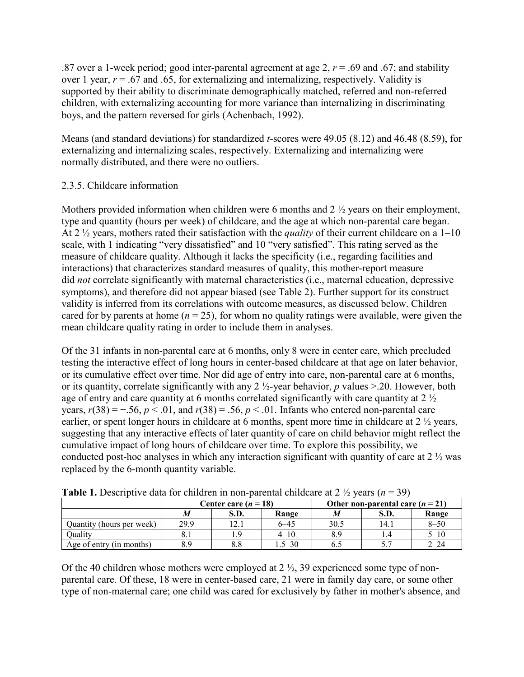.87 over a 1-week period; good inter-parental agreement at age 2, *r* = .69 and .67; and stability over 1 year,  $r = .67$  and  $.65$ , for externalizing and internalizing, respectively. Validity is supported by their ability to discriminate demographically matched, referred and non-referred children, with externalizing accounting for more variance than internalizing in discriminating boys, and the pattern reversed for girls (Achenbach, 1992).

Means (and standard deviations) for standardized *t*-scores were 49.05 (8.12) and 46.48 (8.59), for externalizing and internalizing scales, respectively. Externalizing and internalizing were normally distributed, and there were no outliers.

# 2.3.5. Childcare information

Mothers provided information when children were 6 months and 2 ½ years on their employment, type and quantity (hours per week) of childcare, and the age at which non-parental care began. At 2 ½ years, mothers rated their satisfaction with the *quality* of their current childcare on a 1–10 scale, with 1 indicating "very dissatisfied" and 10 "very satisfied". This rating served as the measure of childcare quality. Although it lacks the specificity (i.e., regarding facilities and interactions) that characterizes standard measures of quality, this mother-report measure did *not* correlate significantly with maternal characteristics (i.e., maternal education, depressive symptoms), and therefore did not appear biased (see Table 2). Further support for its construct validity is inferred from its correlations with outcome measures, as discussed below. Children cared for by parents at home  $(n = 25)$ , for whom no quality ratings were available, were given the mean childcare quality rating in order to include them in analyses.

Of the 31 infants in non-parental care at 6 months, only 8 were in center care, which precluded testing the interactive effect of long hours in center-based childcare at that age on later behavior, or its cumulative effect over time. Nor did age of entry into care, non-parental care at 6 months, or its quantity, correlate significantly with any 2 ½-year behavior, *p* values >.20. However, both age of entry and care quantity at 6 months correlated significantly with care quantity at 2 ½ years,  $r(38) = -.56$ ,  $p < .01$ , and  $r(38) = .56$ ,  $p < .01$ . Infants who entered non-parental care earlier, or spent longer hours in childcare at 6 months, spent more time in childcare at 2  $\frac{1}{2}$  years, suggesting that any interactive effects of later quantity of care on child behavior might reflect the cumulative impact of long hours of childcare over time. To explore this possibility, we conducted post-hoc analyses in which any interaction significant with quantity of care at 2 ½ was replaced by the 6-month quantity variable.

| <b>Table 1.</b> Descriptive data for children in non-parental childcale at 2 72 years ( $n = 39$ ) |      |                      |            |                                    |      |          |  |  |
|----------------------------------------------------------------------------------------------------|------|----------------------|------------|------------------------------------|------|----------|--|--|
|                                                                                                    |      | Center care $(n=18)$ |            | Other non-parental care $(n = 21)$ |      |          |  |  |
|                                                                                                    | M    | S.D.                 | Range      |                                    | S.D. | Range    |  |  |
| Quantity (hours per week)                                                                          | 29.9 | 12.1                 | 6–45       | 30.5                               | 14.1 | $8 - 50$ |  |  |
| Ouality                                                                                            |      |                      | $4 - 10$   | 8.9                                |      | $5 - 10$ |  |  |
| Age of entry (in months)                                                                           | 8.9  | 8.8                  | $1.5 - 30$ |                                    |      | $2 - 24$ |  |  |

| <b>Table 1.</b> Descriptive data for children in non-parental childcare at $2 \frac{1}{2}$ years ( $n = 39$ ) |
|---------------------------------------------------------------------------------------------------------------|
|---------------------------------------------------------------------------------------------------------------|

Of the 40 children whose mothers were employed at 2 ½, 39 experienced some type of nonparental care. Of these, 18 were in center-based care, 21 were in family day care, or some other type of non-maternal care; one child was cared for exclusively by father in mother's absence, and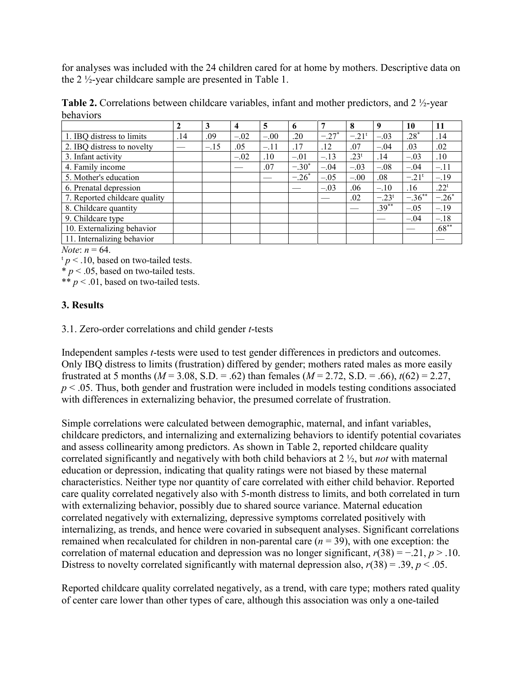for analyses was included with the 24 children cared for at home by mothers. Descriptive data on the 2 ½-year childcare sample are presented in Table 1.

**Table 2.** Correlations between childcare variables, infant and mother predictors, and 2 ½-year behaviors

|                               | $\mathbf{2}$ | 3      | 4      | 5      | 6       |         | 8                   |                | 10                  | 11               |
|-------------------------------|--------------|--------|--------|--------|---------|---------|---------------------|----------------|---------------------|------------------|
| 1. IBQ distress to limits     | .14          | .09    | $-.02$ | $-.00$ | .20     | $-.27*$ | $-.21$ <sup>t</sup> | $-.03$         | $.28*$              | .14              |
| 2. IBQ distress to novelty    |              | $-.15$ | .05    | $-.11$ | .17     | .12     | .07                 | $-.04$         | .03                 | .02              |
| 3. Infant activity            |              |        | $-.02$ | .10    | $-.01$  | $-.13$  | .23 <sup>t</sup>    | .14            | $-.03$              | .10              |
| 4. Family income              |              |        |        | .07    | $-.30*$ | $-.04$  | $-.03$              | $-.08$         | $-.04$              | $-.11$           |
| 5. Mother's education         |              |        |        |        | $-.26*$ | $-.05$  | $-.00$              | .08            | $-.21$ <sup>t</sup> | $-.19$           |
| 6. Prenatal depression        |              |        |        |        |         | $-.03$  | .06                 | $-.10$         | .16                 | .22 <sup>t</sup> |
| 7. Reported childcare quality |              |        |        |        |         |         | .02                 | $-.23^{\rm t}$ | $-.36***$           | $-.26*$          |
| 8. Childcare quantity         |              |        |        |        |         |         |                     | $.39***$       | $-.05$              | $-.19$           |
| 9. Childcare type             |              |        |        |        |         |         |                     |                | $-.04$              | $-.18$           |
| 10. Externalizing behavior    |              |        |        |        |         |         |                     |                |                     | $.68**$          |
| 11. Internalizing behavior    |              |        |        |        |         |         |                     |                |                     |                  |

*Note*: *n* = 64.

 $t_p < 0.10$ , based on two-tailed tests.

 $* p < .05$ , based on two-tailed tests.

\*\*  $p < .01$ , based on two-tailed tests.

#### **3. Results**

3.1. Zero-order correlations and child gender *t*-tests

Independent samples *t*-tests were used to test gender differences in predictors and outcomes. Only IBQ distress to limits (frustration) differed by gender; mothers rated males as more easily frustrated at 5 months ( $M = 3.08$ , S.D. = .62) than females ( $M = 2.72$ , S.D. = .66),  $t(62) = 2.27$ , *p* < .05. Thus, both gender and frustration were included in models testing conditions associated with differences in externalizing behavior, the presumed correlate of frustration.

Simple correlations were calculated between demographic, maternal, and infant variables, childcare predictors, and internalizing and externalizing behaviors to identify potential covariates and assess collinearity among predictors. As shown in Table 2, reported childcare quality correlated significantly and negatively with both child behaviors at 2 ½, but *not* with maternal education or depression, indicating that quality ratings were not biased by these maternal characteristics. Neither type nor quantity of care correlated with either child behavior. Reported care quality correlated negatively also with 5-month distress to limits, and both correlated in turn with externalizing behavior, possibly due to shared source variance. Maternal education correlated negatively with externalizing, depressive symptoms correlated positively with internalizing, as trends, and hence were covaried in subsequent analyses. Significant correlations remained when recalculated for children in non-parental care  $(n = 39)$ , with one exception: the correlation of maternal education and depression was no longer significant, *r*(38) = −.21, *p* > .10. Distress to novelty correlated significantly with maternal depression also,  $r(38) = .39$ ,  $p < .05$ .

Reported childcare quality correlated negatively, as a trend, with care type; mothers rated quality of center care lower than other types of care, although this association was only a one-tailed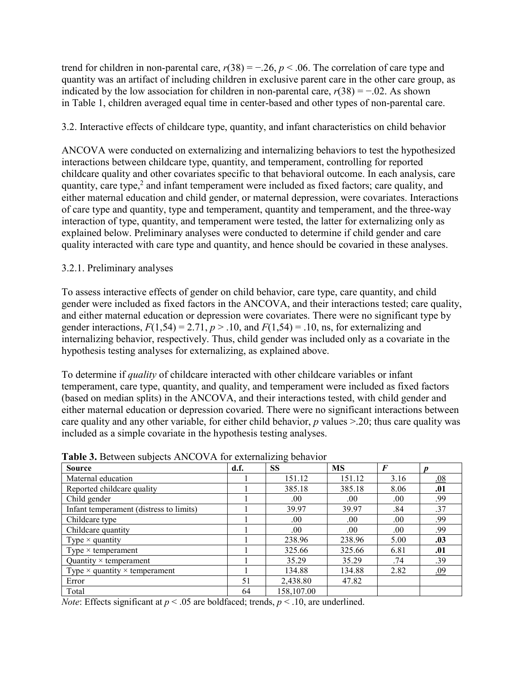trend for children in non-parental care,  $r(38) = -.26$ ,  $p < .06$ . The correlation of care type and quantity was an artifact of including children in exclusive parent care in the other care group, as indicated by the low association for children in non-parental care,  $r(38) = -0.02$ . As shown in Table 1, children averaged equal time in center-based and other types of non-parental care.

# 3.2. Interactive effects of childcare type, quantity, and infant characteristics on child behavior

ANCOVA were conducted on externalizing and internalizing behaviors to test the hypothesized interactions between childcare type, quantity, and temperament, controlling for reported childcare quality and other covariates specific to that behavioral outcome. In each analysis, care quantity, care type, $<sup>2</sup>$  and infant temperament were included as fixed factors; care quality, and</sup> either maternal education and child gender, or maternal depression, were covariates. Interactions of care type and quantity, type and temperament, quantity and temperament, and the three-way interaction of type, quantity, and temperament were tested, the latter for externalizing only as explained below. Preliminary analyses were conducted to determine if child gender and care quality interacted with care type and quantity, and hence should be covaried in these analyses.

# 3.2.1. Preliminary analyses

To assess interactive effects of gender on child behavior, care type, care quantity, and child gender were included as fixed factors in the ANCOVA, and their interactions tested; care quality, and either maternal education or depression were covariates. There were no significant type by gender interactions,  $F(1,54) = 2.71$ ,  $p > .10$ , and  $F(1,54) = .10$ , ns, for externalizing and internalizing behavior, respectively. Thus, child gender was included only as a covariate in the hypothesis testing analyses for externalizing, as explained above.

To determine if *quality* of childcare interacted with other childcare variables or infant temperament, care type, quantity, and quality, and temperament were included as fixed factors (based on median splits) in the ANCOVA, and their interactions tested, with child gender and either maternal education or depression covaried. There were no significant interactions between care quality and any other variable, for either child behavior, *p* values >.20; thus care quality was included as a simple covariate in the hypothesis testing analyses.

| <b>Source</b>                               | d.f. | <b>SS</b>  | <b>MS</b> | $\bm{F}$ |            |
|---------------------------------------------|------|------------|-----------|----------|------------|
| Maternal education                          |      | 151.12     | 151.12    | 3.16     | .08        |
| Reported childcare quality                  |      | 385.18     | 385.18    | 8.06     | .01        |
| Child gender                                |      | .00.       | .00.      | .00.     | .99        |
| Infant temperament (distress to limits)     |      | 39.97      | 39.97     | .84      | .37        |
| Childcare type                              |      | .00.       | .00.      | .00.     | .99        |
| Childcare quantity                          |      | .00.       | .00.      | .00.     | .99        |
| Type $\times$ quantity                      |      | 238.96     | 238.96    | 5.00     | .03        |
| Type $\times$ temperament                   |      | 325.66     | 325.66    | 6.81     | .01        |
| Quantity $\times$ temperament               |      | 35.29      | 35.29     | .74      | .39        |
| Type $\times$ quantity $\times$ temperament |      | 134.88     | 134.88    | 2.82     | <u>.09</u> |
| Error                                       | 51   | 2,438.80   | 47.82     |          |            |
| Total                                       | 64   | 158,107.00 |           |          |            |

**Table 3.** Between subjects ANCOVA for externalizing behavior

*Note*: Effects significant at  $p < .05$  are boldfaced; trends,  $p < .10$ , are underlined.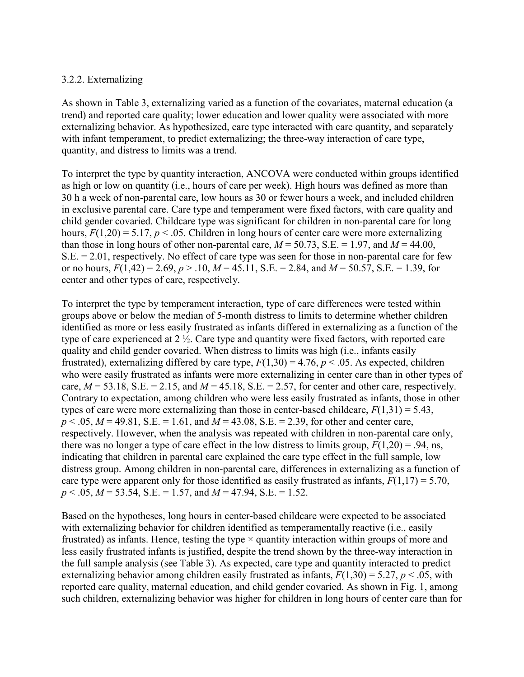#### 3.2.2. Externalizing

As shown in Table 3, externalizing varied as a function of the covariates, maternal education (a trend) and reported care quality; lower education and lower quality were associated with more externalizing behavior. As hypothesized, care type interacted with care quantity, and separately with infant temperament, to predict externalizing; the three-way interaction of care type, quantity, and distress to limits was a trend.

To interpret the type by quantity interaction, ANCOVA were conducted within groups identified as high or low on quantity (i.e., hours of care per week). High hours was defined as more than 30 h a week of non-parental care, low hours as 30 or fewer hours a week, and included children in exclusive parental care. Care type and temperament were fixed factors, with care quality and child gender covaried. Childcare type was significant for children in non-parental care for long hours,  $F(1,20) = 5.17$ ,  $p < 0.05$ . Children in long hours of center care were more externalizing than those in long hours of other non-parental care,  $M = 50.73$ , S.E. = 1.97, and  $M = 44.00$ , S.E. = 2.01, respectively. No effect of care type was seen for those in non-parental care for few or no hours, *F*(1,42) = 2.69, *p* > .10, *M* = 45.11, S.E. = 2.84, and *M* = 50.57, S.E. = 1.39, for center and other types of care, respectively.

To interpret the type by temperament interaction, type of care differences were tested within groups above or below the median of 5-month distress to limits to determine whether children identified as more or less easily frustrated as infants differed in externalizing as a function of the type of care experienced at 2 ½. Care type and quantity were fixed factors, with reported care quality and child gender covaried. When distress to limits was high (i.e., infants easily frustrated), externalizing differed by care type,  $F(1,30) = 4.76$ ,  $p < .05$ . As expected, children who were easily frustrated as infants were more externalizing in center care than in other types of care,  $M = 53.18$ , S.E. = 2.15, and  $M = 45.18$ , S.E. = 2.57, for center and other care, respectively. Contrary to expectation, among children who were less easily frustrated as infants, those in other types of care were more externalizing than those in center-based childcare,  $F(1,31) = 5.43$ , *p* < .05, *M* = 49.81, S.E. = 1.61, and *M* = 43.08, S.E. = 2.39, for other and center care, respectively. However, when the analysis was repeated with children in non-parental care only, there was no longer a type of care effect in the low distress to limits group,  $F(1,20) = .94$ , ns, indicating that children in parental care explained the care type effect in the full sample, low distress group. Among children in non-parental care, differences in externalizing as a function of care type were apparent only for those identified as easily frustrated as infants,  $F(1,17) = 5.70$ , *p* < .05, *M* = 53.54, S.E. = 1.57, and *M* = 47.94, S.E. = 1.52.

Based on the hypotheses, long hours in center-based childcare were expected to be associated with externalizing behavior for children identified as temperamentally reactive (i.e., easily frustrated) as infants. Hence, testing the type  $\times$  quantity interaction within groups of more and less easily frustrated infants is justified, despite the trend shown by the three-way interaction in the full sample analysis (see Table 3). As expected, care type and quantity interacted to predict externalizing behavior among children easily frustrated as infants,  $F(1,30) = 5.27$ ,  $p < .05$ , with reported care quality, maternal education, and child gender covaried. As shown in Fig. 1, among such children, externalizing behavior was higher for children in long hours of center care than for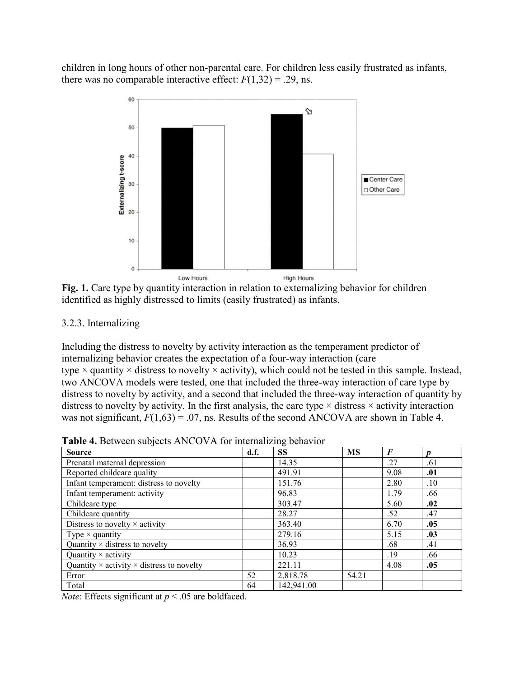children in long hours of other non-parental care. For children less easily frustrated as infants, there was no comparable interactive effect:  $F(1,32) = .29$ , ns.



Fig. 1. Care type by quantity interaction in relation to externalizing behavior for children identified as highly distressed to limits (easily frustrated) as infants.

#### 3.2.3. Internalizing

Including the distress to novelty by activity interaction as the temperament predictor of internalizing behavior creates the expectation of a four-way interaction (care type  $\times$  quantity  $\times$  distress to novelty  $\times$  activity), which could not be tested in this sample. Instead, two ANCOVA models were tested, one that included the three-way interaction of care type by distress to novelty by activity, and a second that included the three-way interaction of quantity by distress to novelty by activity. In the first analysis, the care type  $\times$  distress  $\times$  activity interaction was not significant,  $F(1,63) = .07$ , ns. Results of the second ANCOVA are shown in Table 4.

| <b>Table 4.</b> Between subjects ANCOVA for internalizing behavior |  |  |  |
|--------------------------------------------------------------------|--|--|--|
|--------------------------------------------------------------------|--|--|--|

| <b>Source</b>                                           | d.f. | <b>SS</b>  | <b>MS</b> | $\boldsymbol{F}$ | Ŋ   |
|---------------------------------------------------------|------|------------|-----------|------------------|-----|
| Prenatal maternal depression                            |      | 14.35      |           | .27              | .61 |
| Reported childcare quality                              |      | 491.91     |           | 9.08             | .01 |
| Infant temperament: distress to novelty                 |      | 151.76     |           | 2.80             | .10 |
| Infant temperament: activity                            |      | 96.83      |           | 1.79             | .66 |
| Childcare type                                          |      | 303.47     |           | 5.60             | .02 |
| Childcare quantity                                      |      | 28.27      |           | .52              | .47 |
| Distress to novelty $\times$ activity                   |      | 363.40     |           | 6.70             | .05 |
| Type $\times$ quantity                                  |      | 279.16     |           | 5.15             | .03 |
| Quantity $\times$ distress to novelty                   |      | 36.93      |           | .68              | .41 |
| Quantity $\times$ activity                              |      | 10.23      |           | .19              | .66 |
| Quantity $\times$ activity $\times$ distress to novelty |      | 221.11     |           | 4.08             | .05 |
| Error                                                   | 52   | 2,818.78   | 54.21     |                  |     |
| Total                                                   | 64   | 142,941.00 |           |                  |     |

*Note*: Effects significant at  $p < .05$  are boldfaced.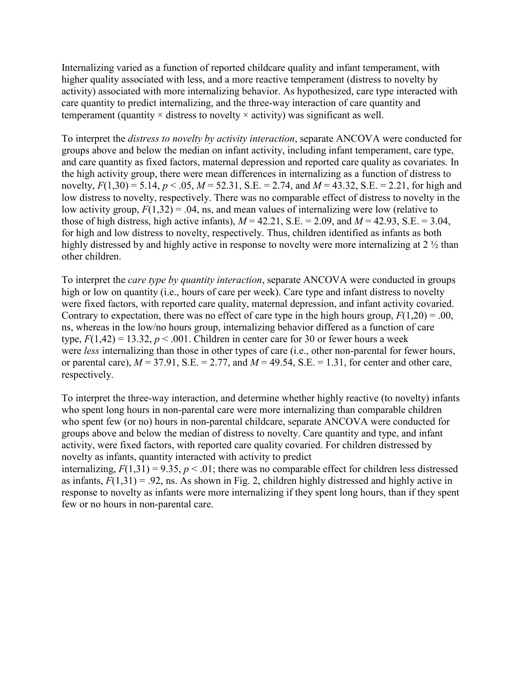Internalizing varied as a function of reported childcare quality and infant temperament, with higher quality associated with less, and a more reactive temperament (distress to novelty by activity) associated with more internalizing behavior. As hypothesized, care type interacted with care quantity to predict internalizing, and the three-way interaction of care quantity and temperament (quantity  $\times$  distress to novelty  $\times$  activity) was significant as well.

To interpret the *distress to novelty by activity interaction*, separate ANCOVA were conducted for groups above and below the median on infant activity, including infant temperament, care type, and care quantity as fixed factors, maternal depression and reported care quality as covariates. In the high activity group, there were mean differences in internalizing as a function of distress to novelty,  $F(1,30) = 5.14$ ,  $p < .05$ ,  $M = 52.31$ , S.E. = 2.74, and  $M = 43.32$ , S.E. = 2.21, for high and low distress to novelty, respectively. There was no comparable effect of distress to novelty in the low activity group,  $F(1,32) = .04$ , ns, and mean values of internalizing were low (relative to those of high distress, high active infants),  $M = 42.21$ , S.E. = 2.09, and  $M = 42.93$ , S.E. = 3.04, for high and low distress to novelty, respectively. Thus, children identified as infants as both highly distressed by and highly active in response to novelty were more internalizing at 2  $\frac{1}{2}$  than other children.

To interpret the *care type by quantity interaction*, separate ANCOVA were conducted in groups high or low on quantity (i.e., hours of care per week). Care type and infant distress to novelty were fixed factors, with reported care quality, maternal depression, and infant activity covaried. Contrary to expectation, there was no effect of care type in the high hours group,  $F(1,20) = .00$ , ns, whereas in the low/no hours group, internalizing behavior differed as a function of care type,  $F(1,42) = 13.32$ ,  $p < .001$ . Children in center care for 30 or fewer hours a week were *less* internalizing than those in other types of care (i.e., other non-parental for fewer hours, or parental care),  $M = 37.91$ , S.E. = 2.77, and  $M = 49.54$ , S.E. = 1.31, for center and other care, respectively.

To interpret the three-way interaction, and determine whether highly reactive (to novelty) infants who spent long hours in non-parental care were more internalizing than comparable children who spent few (or no) hours in non-parental childcare, separate ANCOVA were conducted for groups above and below the median of distress to novelty. Care quantity and type, and infant activity, were fixed factors, with reported care quality covaried. For children distressed by novelty as infants, quantity interacted with activity to predict

internalizing,  $F(1,31) = 9.35$ ,  $p < .01$ ; there was no comparable effect for children less distressed as infants,  $F(1,31) = .92$ , ns. As shown in Fig. 2, children highly distressed and highly active in response to novelty as infants were more internalizing if they spent long hours, than if they spent few or no hours in non-parental care.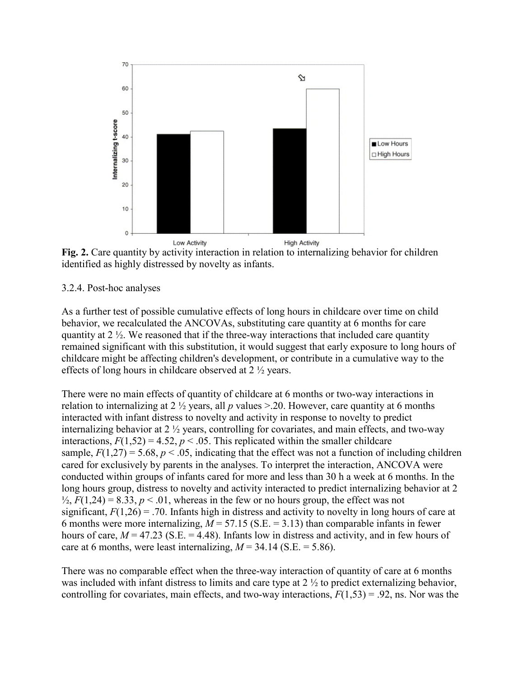

**Fig. 2.** Care quantity by activity interaction in relation to internalizing behavior for children identified as highly distressed by novelty as infants.

#### 3.2.4. Post-hoc analyses

As a further test of possible cumulative effects of long hours in childcare over time on child behavior, we recalculated the ANCOVAs, substituting care quantity at 6 months for care quantity at 2 ½. We reasoned that if the three-way interactions that included care quantity remained significant with this substitution, it would suggest that early exposure to long hours of childcare might be affecting children's development, or contribute in a cumulative way to the effects of long hours in childcare observed at 2 ½ years.

There were no main effects of quantity of childcare at 6 months or two-way interactions in relation to internalizing at 2  $\frac{1}{2}$  years, all p values  $> 20$ . However, care quantity at 6 months interacted with infant distress to novelty and activity in response to novelty to predict internalizing behavior at 2 ½ years, controlling for covariates, and main effects, and two-way interactions,  $F(1,52) = 4.52$ ,  $p < .05$ . This replicated within the smaller childcare sample,  $F(1,27) = 5.68$ ,  $p < .05$ , indicating that the effect was not a function of including children cared for exclusively by parents in the analyses. To interpret the interaction, ANCOVA were conducted within groups of infants cared for more and less than 30 h a week at 6 months. In the long hours group, distress to novelty and activity interacted to predict internalizing behavior at 2  $\frac{1}{2}$ ,  $F(1,24) = 8.33$ ,  $p < 0.01$ , whereas in the few or no hours group, the effect was not significant,  $F(1,26) = 0.70$ . Infants high in distress and activity to novelty in long hours of care at 6 months were more internalizing,  $M = 57.15$  (S.E.  $= 3.13$ ) than comparable infants in fewer hours of care,  $M = 47.23$  (S.E.  $= 4.48$ ). Infants low in distress and activity, and in few hours of care at 6 months, were least internalizing,  $M = 34.14$  (S.E. = 5.86).

There was no comparable effect when the three-way interaction of quantity of care at 6 months was included with infant distress to limits and care type at 2 ½ to predict externalizing behavior, controlling for covariates, main effects, and two-way interactions,  $F(1,53) = .92$ , ns. Nor was the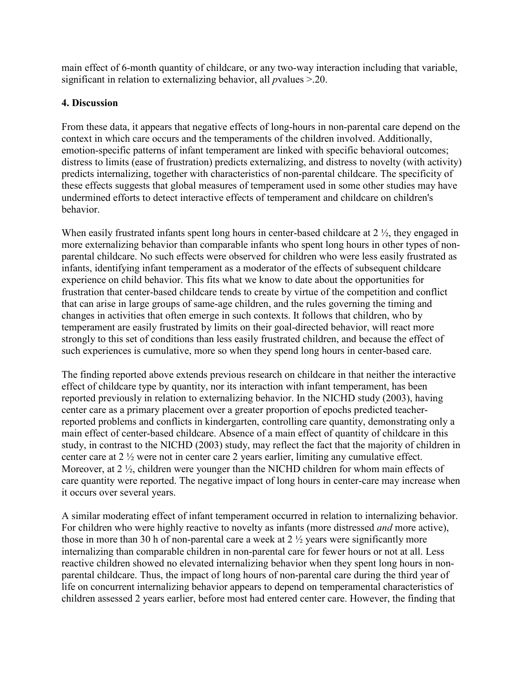main effect of 6-month quantity of childcare, or any two-way interaction including that variable, significant in relation to externalizing behavior, all *p*values >.20.

## **4. Discussion**

From these data, it appears that negative effects of long-hours in non-parental care depend on the context in which care occurs and the temperaments of the children involved. Additionally, emotion-specific patterns of infant temperament are linked with specific behavioral outcomes; distress to limits (ease of frustration) predicts externalizing, and distress to novelty (with activity) predicts internalizing, together with characteristics of non-parental childcare. The specificity of these effects suggests that global measures of temperament used in some other studies may have undermined efforts to detect interactive effects of temperament and childcare on children's behavior.

When easily frustrated infants spent long hours in center-based childcare at 2  $\frac{1}{2}$ , they engaged in more externalizing behavior than comparable infants who spent long hours in other types of nonparental childcare. No such effects were observed for children who were less easily frustrated as infants, identifying infant temperament as a moderator of the effects of subsequent childcare experience on child behavior. This fits what we know to date about the opportunities for frustration that center-based childcare tends to create by virtue of the competition and conflict that can arise in large groups of same-age children, and the rules governing the timing and changes in activities that often emerge in such contexts. It follows that children, who by temperament are easily frustrated by limits on their goal-directed behavior, will react more strongly to this set of conditions than less easily frustrated children, and because the effect of such experiences is cumulative, more so when they spend long hours in center-based care.

The finding reported above extends previous research on childcare in that neither the interactive effect of childcare type by quantity, nor its interaction with infant temperament, has been reported previously in relation to externalizing behavior. In the NICHD study (2003), having center care as a primary placement over a greater proportion of epochs predicted teacherreported problems and conflicts in kindergarten, controlling care quantity, demonstrating only a main effect of center-based childcare. Absence of a main effect of quantity of childcare in this study, in contrast to the NICHD (2003) study, may reflect the fact that the majority of children in center care at 2 ½ were not in center care 2 years earlier, limiting any cumulative effect. Moreover, at 2 <sup>1/2</sup>, children were younger than the NICHD children for whom main effects of care quantity were reported. The negative impact of long hours in center-care may increase when it occurs over several years.

A similar moderating effect of infant temperament occurred in relation to internalizing behavior. For children who were highly reactive to novelty as infants (more distressed *and* more active), those in more than 30 h of non-parental care a week at  $2\frac{1}{2}$  years were significantly more internalizing than comparable children in non-parental care for fewer hours or not at all. Less reactive children showed no elevated internalizing behavior when they spent long hours in nonparental childcare. Thus, the impact of long hours of non-parental care during the third year of life on concurrent internalizing behavior appears to depend on temperamental characteristics of children assessed 2 years earlier, before most had entered center care. However, the finding that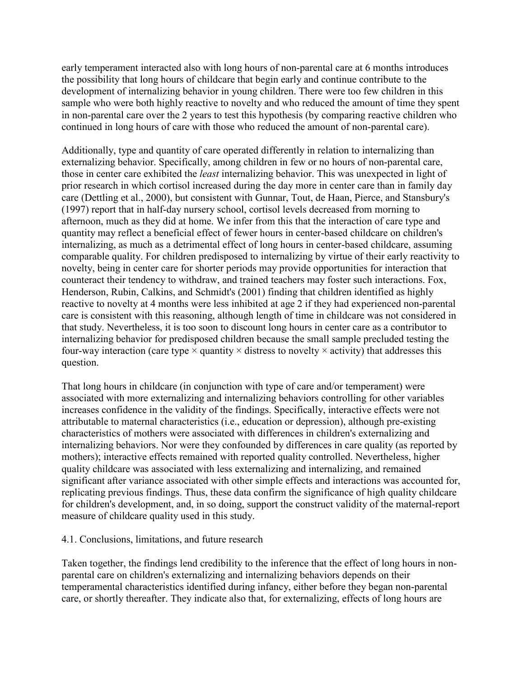early temperament interacted also with long hours of non-parental care at 6 months introduces the possibility that long hours of childcare that begin early and continue contribute to the development of internalizing behavior in young children. There were too few children in this sample who were both highly reactive to novelty and who reduced the amount of time they spent in non-parental care over the 2 years to test this hypothesis (by comparing reactive children who continued in long hours of care with those who reduced the amount of non-parental care).

Additionally, type and quantity of care operated differently in relation to internalizing than externalizing behavior. Specifically, among children in few or no hours of non-parental care, those in center care exhibited the *least* internalizing behavior. This was unexpected in light of prior research in which cortisol increased during the day more in center care than in family day care (Dettling et al., 2000), but consistent with Gunnar, Tout, de Haan, Pierce, and Stansbury's (1997) report that in half-day nursery school, cortisol levels decreased from morning to afternoon, much as they did at home. We infer from this that the interaction of care type and quantity may reflect a beneficial effect of fewer hours in center-based childcare on children's internalizing, as much as a detrimental effect of long hours in center-based childcare, assuming comparable quality. For children predisposed to internalizing by virtue of their early reactivity to novelty, being in center care for shorter periods may provide opportunities for interaction that counteract their tendency to withdraw, and trained teachers may foster such interactions. Fox, Henderson, Rubin, Calkins, and Schmidt's (2001) finding that children identified as highly reactive to novelty at 4 months were less inhibited at age 2 if they had experienced non-parental care is consistent with this reasoning, although length of time in childcare was not considered in that study. Nevertheless, it is too soon to discount long hours in center care as a contributor to internalizing behavior for predisposed children because the small sample precluded testing the four-way interaction (care type  $\times$  quantity  $\times$  distress to novelty  $\times$  activity) that addresses this question.

That long hours in childcare (in conjunction with type of care and/or temperament) were associated with more externalizing and internalizing behaviors controlling for other variables increases confidence in the validity of the findings. Specifically, interactive effects were not attributable to maternal characteristics (i.e., education or depression), although pre-existing characteristics of mothers were associated with differences in children's externalizing and internalizing behaviors. Nor were they confounded by differences in care quality (as reported by mothers); interactive effects remained with reported quality controlled. Nevertheless, higher quality childcare was associated with less externalizing and internalizing, and remained significant after variance associated with other simple effects and interactions was accounted for, replicating previous findings. Thus, these data confirm the significance of high quality childcare for children's development, and, in so doing, support the construct validity of the maternal-report measure of childcare quality used in this study.

#### 4.1. Conclusions, limitations, and future research

Taken together, the findings lend credibility to the inference that the effect of long hours in nonparental care on children's externalizing and internalizing behaviors depends on their temperamental characteristics identified during infancy, either before they began non-parental care, or shortly thereafter. They indicate also that, for externalizing, effects of long hours are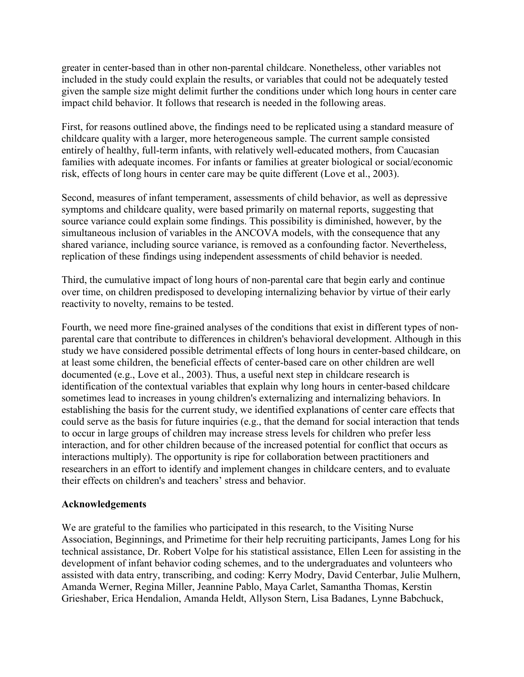greater in center-based than in other non-parental childcare. Nonetheless, other variables not included in the study could explain the results, or variables that could not be adequately tested given the sample size might delimit further the conditions under which long hours in center care impact child behavior. It follows that research is needed in the following areas.

First, for reasons outlined above, the findings need to be replicated using a standard measure of childcare quality with a larger, more heterogeneous sample. The current sample consisted entirely of healthy, full-term infants, with relatively well-educated mothers, from Caucasian families with adequate incomes. For infants or families at greater biological or social/economic risk, effects of long hours in center care may be quite different (Love et al., 2003).

Second, measures of infant temperament, assessments of child behavior, as well as depressive symptoms and childcare quality, were based primarily on maternal reports, suggesting that source variance could explain some findings. This possibility is diminished, however, by the simultaneous inclusion of variables in the ANCOVA models, with the consequence that any shared variance, including source variance, is removed as a confounding factor. Nevertheless, replication of these findings using independent assessments of child behavior is needed.

Third, the cumulative impact of long hours of non-parental care that begin early and continue over time, on children predisposed to developing internalizing behavior by virtue of their early reactivity to novelty, remains to be tested.

Fourth, we need more fine-grained analyses of the conditions that exist in different types of nonparental care that contribute to differences in children's behavioral development. Although in this study we have considered possible detrimental effects of long hours in center-based childcare, on at least some children, the beneficial effects of center-based care on other children are well documented (e.g., Love et al., 2003). Thus, a useful next step in childcare research is identification of the contextual variables that explain why long hours in center-based childcare sometimes lead to increases in young children's externalizing and internalizing behaviors. In establishing the basis for the current study, we identified explanations of center care effects that could serve as the basis for future inquiries (e.g., that the demand for social interaction that tends to occur in large groups of children may increase stress levels for children who prefer less interaction, and for other children because of the increased potential for conflict that occurs as interactions multiply). The opportunity is ripe for collaboration between practitioners and researchers in an effort to identify and implement changes in childcare centers, and to evaluate their effects on children's and teachers' stress and behavior.

#### **Acknowledgements**

We are grateful to the families who participated in this research, to the Visiting Nurse Association, Beginnings, and Primetime for their help recruiting participants, James Long for his technical assistance, Dr. Robert Volpe for his statistical assistance, Ellen Leen for assisting in the development of infant behavior coding schemes, and to the undergraduates and volunteers who assisted with data entry, transcribing, and coding: Kerry Modry, David Centerbar, Julie Mulhern, Amanda Werner, Regina Miller, Jeannine Pablo, Maya Carlet, Samantha Thomas, Kerstin Grieshaber, Erica Hendalion, Amanda Heldt, Allyson Stern, Lisa Badanes, Lynne Babchuck,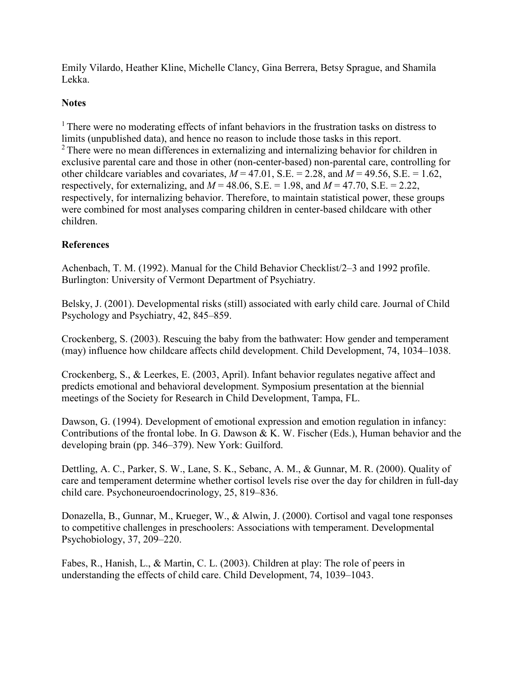Emily Vilardo, Heather Kline, Michelle Clancy, Gina Berrera, Betsy Sprague, and Shamila Lekka.

## **Notes**

<sup>1</sup> There were no moderating effects of infant behaviors in the frustration tasks on distress to limits (unpublished data), and hence no reason to include those tasks in this report. <sup>2</sup> There were no mean differences in externalizing and internalizing behavior for children in exclusive parental care and those in other (non-center-based) non-parental care, controlling for other childcare variables and covariates,  $M = 47.01$ , S.E. = 2.28, and  $M = 49.56$ , S.E. = 1.62, respectively, for externalizing, and  $M = 48.06$ , S.E. = 1.98, and  $M = 47.70$ , S.E. = 2.22, respectively, for internalizing behavior. Therefore, to maintain statistical power, these groups were combined for most analyses comparing children in center-based childcare with other children.

# **References**

Achenbach, T. M. (1992). Manual for the Child Behavior Checklist/2–3 and 1992 profile. Burlington: University of Vermont Department of Psychiatry.

Belsky, J. (2001). Developmental risks (still) associated with early child care. Journal of Child Psychology and Psychiatry, 42, 845–859.

Crockenberg, S. (2003). Rescuing the baby from the bathwater: How gender and temperament (may) influence how childcare affects child development. Child Development, 74, 1034–1038.

Crockenberg, S., & Leerkes, E. (2003, April). Infant behavior regulates negative affect and predicts emotional and behavioral development. Symposium presentation at the biennial meetings of the Society for Research in Child Development, Tampa, FL.

Dawson, G. (1994). Development of emotional expression and emotion regulation in infancy: Contributions of the frontal lobe. In G. Dawson & K. W. Fischer (Eds.), Human behavior and the developing brain (pp. 346–379). New York: Guilford.

Dettling, A. C., Parker, S. W., Lane, S. K., Sebanc, A. M., & Gunnar, M. R. (2000). Quality of care and temperament determine whether cortisol levels rise over the day for children in full-day child care. Psychoneuroendocrinology, 25, 819–836.

Donazella, B., Gunnar, M., Krueger, W., & Alwin, J. (2000). Cortisol and vagal tone responses to competitive challenges in preschoolers: Associations with temperament. Developmental Psychobiology, 37, 209–220.

Fabes, R., Hanish, L., & Martin, C. L. (2003). Children at play: The role of peers in understanding the effects of child care. Child Development, 74, 1039–1043.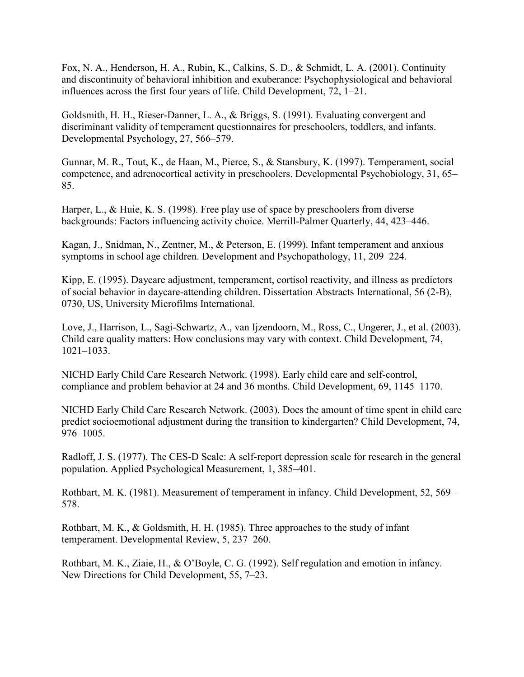Fox, N. A., Henderson, H. A., Rubin, K., Calkins, S. D., & Schmidt, L. A. (2001). Continuity and discontinuity of behavioral inhibition and exuberance: Psychophysiological and behavioral influences across the first four years of life. Child Development, 72, 1–21.

Goldsmith, H. H., Rieser-Danner, L. A., & Briggs, S. (1991). Evaluating convergent and discriminant validity of temperament questionnaires for preschoolers, toddlers, and infants. Developmental Psychology, 27, 566–579.

Gunnar, M. R., Tout, K., de Haan, M., Pierce, S., & Stansbury, K. (1997). Temperament, social competence, and adrenocortical activity in preschoolers. Developmental Psychobiology, 31, 65– 85.

Harper, L., & Huie, K. S. (1998). Free play use of space by preschoolers from diverse backgrounds: Factors influencing activity choice. Merrill-Palmer Quarterly, 44, 423–446.

Kagan, J., Snidman, N., Zentner, M., & Peterson, E. (1999). Infant temperament and anxious symptoms in school age children. Development and Psychopathology, 11, 209–224.

Kipp, E. (1995). Daycare adjustment, temperament, cortisol reactivity, and illness as predictors of social behavior in daycare-attending children. Dissertation Abstracts International, 56 (2-B), 0730, US, University Microfilms International.

Love, J., Harrison, L., Sagi-Schwartz, A., van Ijzendoorn, M., Ross, C., Ungerer, J., et al. (2003). Child care quality matters: How conclusions may vary with context. Child Development, 74, 1021–1033.

NICHD Early Child Care Research Network. (1998). Early child care and self-control, compliance and problem behavior at 24 and 36 months. Child Development, 69, 1145–1170.

NICHD Early Child Care Research Network. (2003). Does the amount of time spent in child care predict socioemotional adjustment during the transition to kindergarten? Child Development, 74, 976–1005.

Radloff, J. S. (1977). The CES-D Scale: A self-report depression scale for research in the general population. Applied Psychological Measurement, 1, 385–401.

Rothbart, M. K. (1981). Measurement of temperament in infancy. Child Development, 52, 569– 578.

Rothbart, M. K., & Goldsmith, H. H. (1985). Three approaches to the study of infant temperament. Developmental Review, 5, 237–260.

Rothbart, M. K., Ziaie, H., & O'Boyle, C. G. (1992). Self regulation and emotion in infancy. New Directions for Child Development, 55, 7–23.